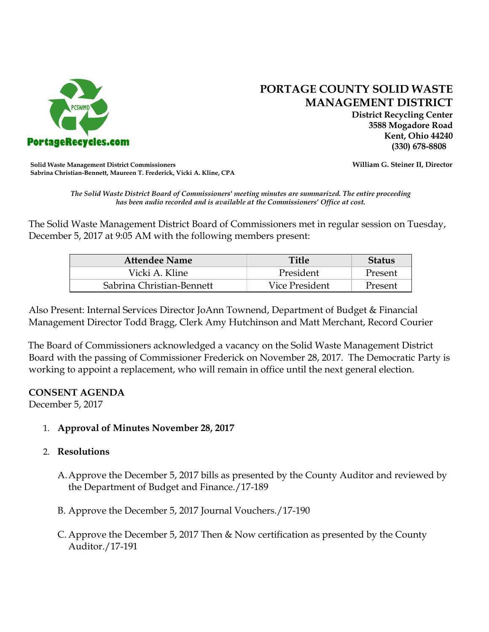

# **PORTAGE COUNTY SOLID WASTE MANAGEMENT DISTRICT**

 **District Recycling Center 3588 Mogadore Road Kent, Ohio 44240**

**Solid Waste Management District Commissioners William G. Steiner II, Director Sabrina Christian-Bennett, Maureen T. Frederick, Vicki A. Kline, CPA**

*The Solid Waste District Board of Commissioners' meeting minutes are summarized. The entire proceeding has been audio recorded and is available at the Commissioners' Office at cost.*

The Solid Waste Management District Board of Commissioners met in regular session on Tuesday, December 5, 2017 at 9:05 AM with the following members present:

| <b>Attendee Name</b>      | Title          | Status  |  |
|---------------------------|----------------|---------|--|
| Vicki A. Kline            | President      | Present |  |
| Sabrina Christian-Bennett | Vice President | Present |  |

Also Present: Internal Services Director JoAnn Townend, Department of Budget & Financial Management Director Todd Bragg, Clerk Amy Hutchinson and Matt Merchant, Record Courier

The Board of Commissioners acknowledged a vacancy on the Solid Waste Management District Board with the passing of Commissioner Frederick on November 28, 2017. The Democratic Party is working to appoint a replacement, who will remain in office until the next general election.

## **CONSENT AGENDA**

December 5, 2017

1. **Approval of Minutes November 28, 2017**

# 2. **Resolutions**

- A.Approve the December 5, 2017 bills as presented by the County Auditor and reviewed by the Department of Budget and Finance./17-189
- B. Approve the December 5, 2017 Journal Vouchers./17-190
- C. Approve the December 5, 2017 Then & Now certification as presented by the County Auditor./17-191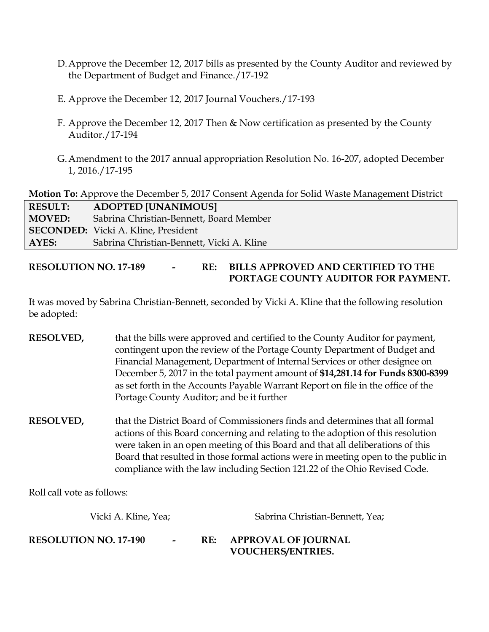- D.Approve the December 12, 2017 bills as presented by the County Auditor and reviewed by the Department of Budget and Finance./17-192
- E. Approve the December 12, 2017 Journal Vouchers./17-193
- F. Approve the December 12, 2017 Then & Now certification as presented by the County Auditor./17-194
- G.Amendment to the 2017 annual appropriation Resolution No. 16-207, adopted December 1, 2016./17-195

**Motion To:** Approve the December 5, 2017 Consent Agenda for Solid Waste Management District

| <b>RESULT:</b> | <b>ADOPTED [UNANIMOUS]</b>                 |
|----------------|--------------------------------------------|
| <b>MOVED:</b>  | Sabrina Christian-Bennett, Board Member    |
|                | <b>SECONDED:</b> Vicki A. Kline, President |
| AYES:          | Sabrina Christian-Bennett, Vicki A. Kline  |
|                |                                            |

# **RESOLUTION NO. 17-189 - RE: BILLS APPROVED AND CERTIFIED TO THE PORTAGE COUNTY AUDITOR FOR PAYMENT.**

It was moved by Sabrina Christian-Bennett, seconded by Vicki A. Kline that the following resolution be adopted:

- **RESOLVED,** that the bills were approved and certified to the County Auditor for payment, contingent upon the review of the Portage County Department of Budget and Financial Management, Department of Internal Services or other designee on December 5, 2017 in the total payment amount of **\$14,281.14 for Funds 8300-8399**  as set forth in the Accounts Payable Warrant Report on file in the office of the Portage County Auditor; and be it further
- **RESOLVED,** that the District Board of Commissioners finds and determines that all formal actions of this Board concerning and relating to the adoption of this resolution were taken in an open meeting of this Board and that all deliberations of this Board that resulted in those formal actions were in meeting open to the public in compliance with the law including Section 121.22 of the Ohio Revised Code.

Roll call vote as follows:

| Vicki A. Kline, Yea;                   | Sabrina Christian-Bennett, Yea; |                                                        |
|----------------------------------------|---------------------------------|--------------------------------------------------------|
| <b>RESOLUTION NO. 17-190</b><br>$\sim$ | RE:                             | <b>APPROVAL OF JOURNAL</b><br><b>VOUCHERS/ENTRIES.</b> |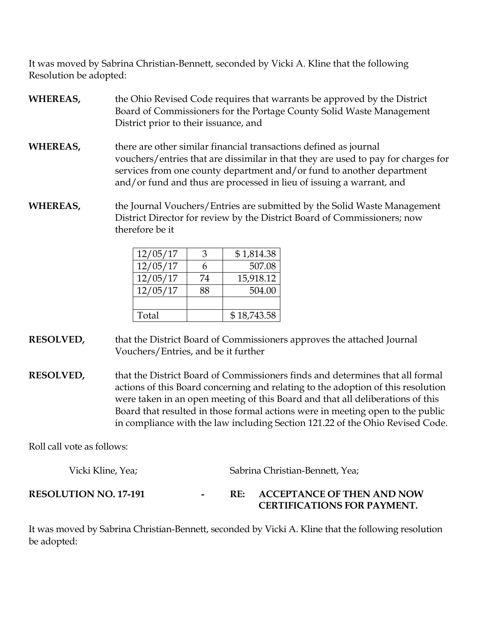It was moved by Sabrina Christian-Bennett, seconded by Vicki A. Kline that the following Resolution be adopted:

- **WHEREAS,** the Ohio Revised Code requires that warrants be approved by the District Board of Commissioners for the Portage County Solid Waste Management District prior to their issuance, and
- **WHEREAS,** there are other similar financial transactions defined as journal vouchers/entries that are dissimilar in that they are used to pay for charges for services from one county department and/or fund to another department and/or fund and thus are processed in lieu of issuing a warrant, and
- **WHEREAS,** the Journal Vouchers/Entries are submitted by the Solid Waste Management District Director for review by the District Board of Commissioners; now therefore be it

| 12/05/17 | 3  | \$1,814.38  |
|----------|----|-------------|
| 12/05/17 | 6  | 507.08      |
| 12/05/17 | 74 | 15,918.12   |
| 12/05/17 | 88 | 504.00      |
|          |    |             |
| Total    |    | \$18,743.58 |

- **RESOLVED,** that the District Board of Commissioners approves the attached Journal Vouchers/Entries, and be it further
- **RESOLVED,** that the District Board of Commissioners finds and determines that all formal actions of this Board concerning and relating to the adoption of this resolution were taken in an open meeting of this Board and that all deliberations of this Board that resulted in those formal actions were in meeting open to the public in compliance with the law including Section 121.22 of the Ohio Revised Code.

Roll call vote as follows:

| Vicki Kline, Yea;            |  | Sabrina Christian-Bennett, Yea;                                                |  |  |
|------------------------------|--|--------------------------------------------------------------------------------|--|--|
| <b>RESOLUTION NO. 17-191</b> |  | <b>ACCEPTANCE OF THEN AND NOW</b><br>RE:<br><b>CERTIFICATIONS FOR PAYMENT.</b> |  |  |

It was moved by Sabrina Christian-Bennett, seconded by Vicki A. Kline that the following resolution be adopted: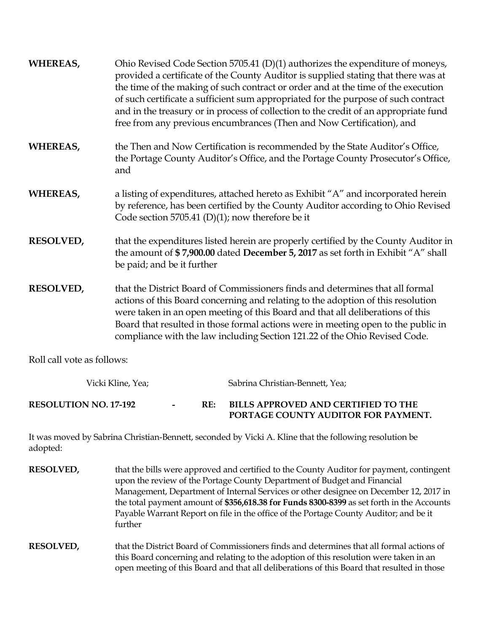| WHEREAS,         | Ohio Revised Code Section 5705.41 (D)(1) authorizes the expenditure of moneys,<br>provided a certificate of the County Auditor is supplied stating that there was at<br>the time of the making of such contract or order and at the time of the execution<br>of such certificate a sufficient sum appropriated for the purpose of such contract<br>and in the treasury or in process of collection to the credit of an appropriate fund<br>free from any previous encumbrances (Then and Now Certification), and |
|------------------|------------------------------------------------------------------------------------------------------------------------------------------------------------------------------------------------------------------------------------------------------------------------------------------------------------------------------------------------------------------------------------------------------------------------------------------------------------------------------------------------------------------|
| WHEREAS,         | the Then and Now Certification is recommended by the State Auditor's Office,<br>the Portage County Auditor's Office, and the Portage County Prosecutor's Office,<br>and                                                                                                                                                                                                                                                                                                                                          |
| WHEREAS,         | a listing of expenditures, attached hereto as Exhibit "A" and incorporated herein<br>by reference, has been certified by the County Auditor according to Ohio Revised<br>Code section 5705.41 (D)(1); now therefore be it                                                                                                                                                                                                                                                                                        |
| <b>RESOLVED,</b> | that the expenditures listed herein are properly certified by the County Auditor in<br>the amount of \$7,900.00 dated December 5, 2017 as set forth in Exhibit "A" shall<br>be paid; and be it further                                                                                                                                                                                                                                                                                                           |
| <b>RESOLVED,</b> | that the District Board of Commissioners finds and determines that all formal<br>actions of this Board concerning and relating to the adoption of this resolution<br>were taken in an open meeting of this Board and that all deliberations of this<br>Board that resulted in those formal actions were in meeting open to the public in<br>compliance with the law including Section 121.22 of the Ohio Revised Code.                                                                                           |

Roll call vote as follows:

| Vicki Kline, Yea;            |     | Sabrina Christian-Bennett, Yea;                                            |
|------------------------------|-----|----------------------------------------------------------------------------|
| <b>RESOLUTION NO. 17-192</b> | RE: | BILLS APPROVED AND CERTIFIED TO THE<br>PORTAGE COUNTY AUDITOR FOR PAYMENT. |

It was moved by Sabrina Christian-Bennett, seconded by Vicki A. Kline that the following resolution be adopted:

| <b>RESOLVED,</b> | that the bills were approved and certified to the County Auditor for payment, contingent<br>upon the review of the Portage County Department of Budget and Financial<br>Management, Department of Internal Services or other designee on December 12, 2017 in<br>the total payment amount of \$356,618.38 for Funds 8300-8399 as set forth in the Accounts<br>Payable Warrant Report on file in the office of the Portage County Auditor; and be it<br>further |
|------------------|----------------------------------------------------------------------------------------------------------------------------------------------------------------------------------------------------------------------------------------------------------------------------------------------------------------------------------------------------------------------------------------------------------------------------------------------------------------|
| <b>RESOLVED,</b> | that the District Board of Commissioners finds and determines that all formal actions of<br>this Board concerning and relating to the adoption of this resolution were taken in an<br>open meeting of this Board and that all deliberations of this Board that resulted in those                                                                                                                                                                               |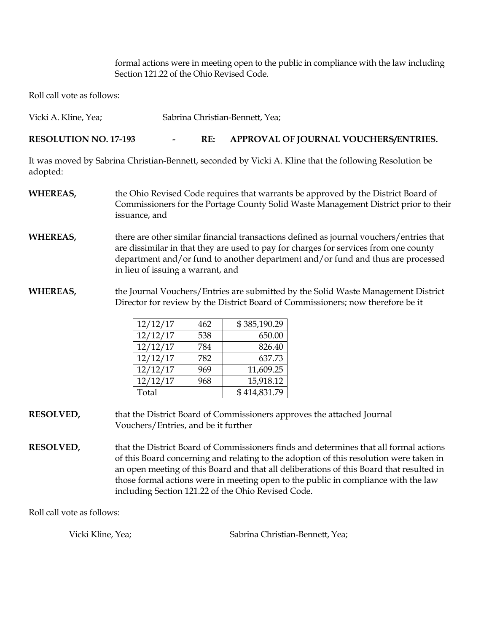formal actions were in meeting open to the public in compliance with the law including Section 121.22 of the Ohio Revised Code.

Roll call vote as follows:

| Vicki A. Kline, Yea;         |                          | Sabrina Christian-Bennett, Yea; |                                                                                                                                                                          |  |  |
|------------------------------|--------------------------|---------------------------------|--------------------------------------------------------------------------------------------------------------------------------------------------------------------------|--|--|
| <b>RESOLUTION NO. 17-193</b> | $\overline{\phantom{a}}$ | RE:                             | APPROVAL OF JOURNAL VOUCHERS/ENTRIES.                                                                                                                                    |  |  |
| adopted:                     |                          |                                 | It was moved by Sabrina Christian-Bennett, seconded by Vicki A. Kline that the following Resolution be                                                                   |  |  |
| WHEREAS,                     | issuance, and            |                                 | the Ohio Revised Code requires that warrants be approved by the District Board of<br>Commissioners for the Portage County Solid Waste Management District prior to their |  |  |

- **WHEREAS,** there are other similar financial transactions defined as journal vouchers/entries that are dissimilar in that they are used to pay for charges for services from one county department and/or fund to another department and/or fund and thus are processed in lieu of issuing a warrant, and
- **WHEREAS,** the Journal Vouchers/Entries are submitted by the Solid Waste Management District Director for review by the District Board of Commissioners; now therefore be it

| 12/12/17 | 462 | \$385,190.29 |
|----------|-----|--------------|
| 12/12/17 | 538 | 650.00       |
| 12/12/17 | 784 | 826.40       |
| 12/12/17 | 782 | 637.73       |
| 12/12/17 | 969 | 11,609.25    |
| 12/12/17 | 968 | 15,918.12    |
| Total    |     | \$414,831.79 |

- **RESOLVED,** that the District Board of Commissioners approves the attached Journal Vouchers/Entries, and be it further
- **RESOLVED,** that the District Board of Commissioners finds and determines that all formal actions of this Board concerning and relating to the adoption of this resolution were taken in an open meeting of this Board and that all deliberations of this Board that resulted in those formal actions were in meeting open to the public in compliance with the law including Section 121.22 of the Ohio Revised Code.

Roll call vote as follows:

Vicki Kline, Yea; Sabrina Christian-Bennett, Yea;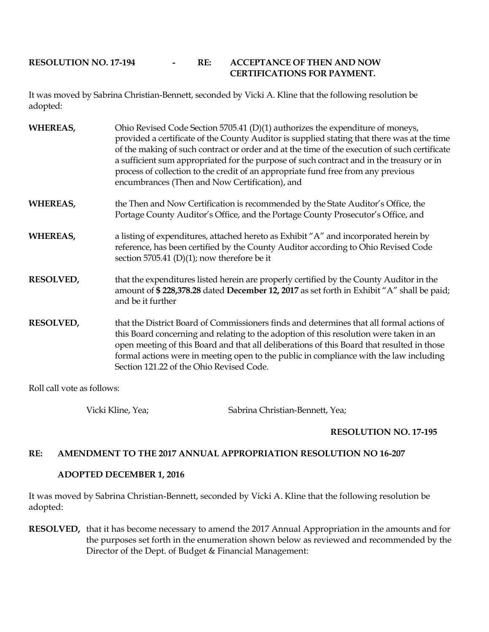### **RESOLUTION NO. 17-194 - RE: ACCEPTANCE OF THEN AND NOW CERTIFICATIONS FOR PAYMENT.**

It was moved by Sabrina Christian-Bennett, seconded by Vicki A. Kline that the following resolution be adopted:

| <b>WHEREAS,</b>  | Ohio Revised Code Section 5705.41 (D)(1) authorizes the expenditure of moneys,<br>provided a certificate of the County Auditor is supplied stating that there was at the time<br>of the making of such contract or order and at the time of the execution of such certificate<br>a sufficient sum appropriated for the purpose of such contract and in the treasury or in<br>process of collection to the credit of an appropriate fund free from any previous<br>encumbrances (Then and Now Certification), and |
|------------------|------------------------------------------------------------------------------------------------------------------------------------------------------------------------------------------------------------------------------------------------------------------------------------------------------------------------------------------------------------------------------------------------------------------------------------------------------------------------------------------------------------------|
| <b>WHEREAS,</b>  | the Then and Now Certification is recommended by the State Auditor's Office, the<br>Portage County Auditor's Office, and the Portage County Prosecutor's Office, and                                                                                                                                                                                                                                                                                                                                             |
| <b>WHEREAS,</b>  | a listing of expenditures, attached hereto as Exhibit "A" and incorporated herein by<br>reference, has been certified by the County Auditor according to Ohio Revised Code<br>section 5705.41 (D)(1); now therefore be it                                                                                                                                                                                                                                                                                        |
| RESOLVED,        | that the expenditures listed herein are properly certified by the County Auditor in the<br>amount of \$228,378.28 dated December 12, 2017 as set forth in Exhibit "A" shall be paid;<br>and be it further                                                                                                                                                                                                                                                                                                        |
| <b>RESOLVED,</b> | that the District Board of Commissioners finds and determines that all formal actions of<br>this Board concerning and relating to the adoption of this resolution were taken in an<br>open meeting of this Board and that all deliberations of this Board that resulted in those<br>formal actions were in meeting open to the public in compliance with the law including<br>Section 121.22 of the Ohio Revised Code.                                                                                           |

Roll call vote as follows:

Vicki Kline, Yea; Sabrina Christian-Bennett, Yea;

## **RESOLUTION NO. 17-195**

#### **RE: AMENDMENT TO THE 2017 ANNUAL APPROPRIATION RESOLUTION NO 16-207**

#### **ADOPTED DECEMBER 1, 2016**

It was moved by Sabrina Christian-Bennett, seconded by Vicki A. Kline that the following resolution be adopted:

**RESOLVED,** that it has become necessary to amend the 2017 Annual Appropriation in the amounts and for the purposes set forth in the enumeration shown below as reviewed and recommended by the Director of the Dept. of Budget & Financial Management: